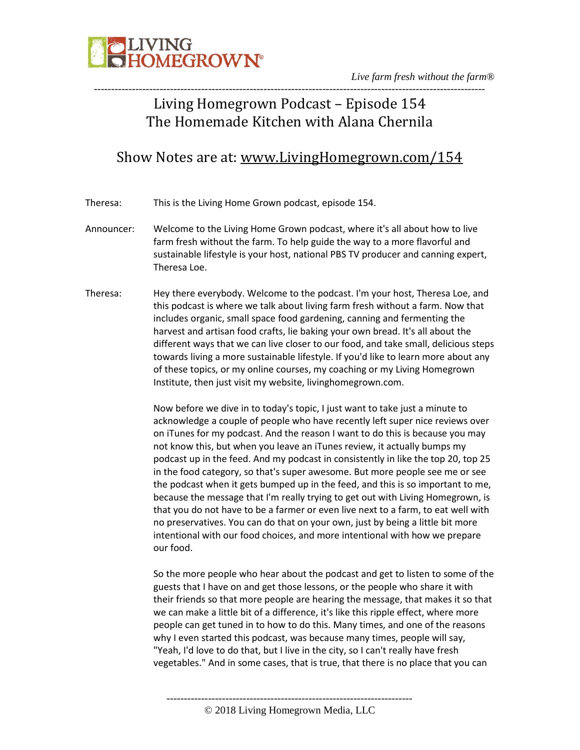

## ----------------------------------------------------------------------------------------------------------------- Living Homegrown Podcast – Episode 154 The Homemade Kitchen with Alana Chernila

## Show Notes are at: [www.LivingHomegrown.com/154](http://www.livinghomegrown.com/154)

Theresa: This is the Living Home Grown podcast, episode 154.

- Announcer: Welcome to the Living Home Grown podcast, where it's all about how to live farm fresh without the farm. To help guide the way to a more flavorful and sustainable lifestyle is your host, national PBS TV producer and canning expert, Theresa Loe.
- Theresa: Hey there everybody. Welcome to the podcast. I'm your host, Theresa Loe, and this podcast is where we talk about living farm fresh without a farm. Now that includes organic, small space food gardening, canning and fermenting the harvest and artisan food crafts, lie baking your own bread. It's all about the different ways that we can live closer to our food, and take small, delicious steps towards living a more sustainable lifestyle. If you'd like to learn more about any of these topics, or my online courses, my coaching or my Living Homegrown Institute, then just visit my website, livinghomegrown.com.

Now before we dive in to today's topic, I just want to take just a minute to acknowledge a couple of people who have recently left super nice reviews over on iTunes for my podcast. And the reason I want to do this is because you may not know this, but when you leave an iTunes review, it actually bumps my podcast up in the feed. And my podcast in consistently in like the top 20, top 25 in the food category, so that's super awesome. But more people see me or see the podcast when it gets bumped up in the feed, and this is so important to me, because the message that I'm really trying to get out with Living Homegrown, is that you do not have to be a farmer or even live next to a farm, to eat well with no preservatives. You can do that on your own, just by being a little bit more intentional with our food choices, and more intentional with how we prepare our food.

So the more people who hear about the podcast and get to listen to some of the guests that I have on and get those lessons, or the people who share it with their friends so that more people are hearing the message, that makes it so that we can make a little bit of a difference, it's like this ripple effect, where more people can get tuned in to how to do this. Many times, and one of the reasons why I even started this podcast, was because many times, people will say, "Yeah, I'd love to do that, but I live in the city, so I can't really have fresh vegetables." And in some cases, that is true, that there is no place that you can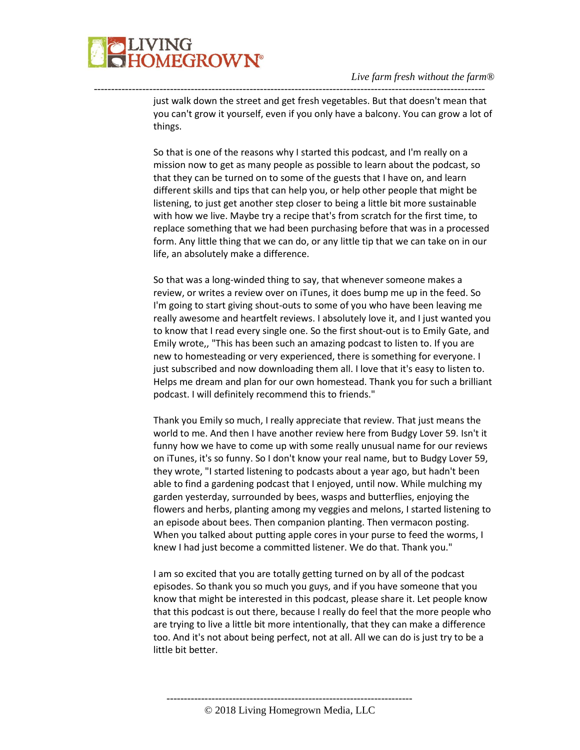

just walk down the street and get fresh vegetables. But that doesn't mean that you can't grow it yourself, even if you only have a balcony. You can grow a lot of things.

-----------------------------------------------------------------------------------------------------------------

So that is one of the reasons why I started this podcast, and I'm really on a mission now to get as many people as possible to learn about the podcast, so that they can be turned on to some of the guests that I have on, and learn different skills and tips that can help you, or help other people that might be listening, to just get another step closer to being a little bit more sustainable with how we live. Maybe try a recipe that's from scratch for the first time, to replace something that we had been purchasing before that was in a processed form. Any little thing that we can do, or any little tip that we can take on in our life, an absolutely make a difference.

So that was a long-winded thing to say, that whenever someone makes a review, or writes a review over on iTunes, it does bump me up in the feed. So I'm going to start giving shout-outs to some of you who have been leaving me really awesome and heartfelt reviews. I absolutely love it, and I just wanted you to know that I read every single one. So the first shout-out is to Emily Gate, and Emily wrote,, "This has been such an amazing podcast to listen to. If you are new to homesteading or very experienced, there is something for everyone. I just subscribed and now downloading them all. I love that it's easy to listen to. Helps me dream and plan for our own homestead. Thank you for such a brilliant podcast. I will definitely recommend this to friends."

Thank you Emily so much, I really appreciate that review. That just means the world to me. And then I have another review here from Budgy Lover 59. Isn't it funny how we have to come up with some really unusual name for our reviews on iTunes, it's so funny. So I don't know your real name, but to Budgy Lover 59, they wrote, "I started listening to podcasts about a year ago, but hadn't been able to find a gardening podcast that I enjoyed, until now. While mulching my garden yesterday, surrounded by bees, wasps and butterflies, enjoying the flowers and herbs, planting among my veggies and melons, I started listening to an episode about bees. Then companion planting. Then vermacon posting. When you talked about putting apple cores in your purse to feed the worms, I knew I had just become a committed listener. We do that. Thank you."

I am so excited that you are totally getting turned on by all of the podcast episodes. So thank you so much you guys, and if you have someone that you know that might be interested in this podcast, please share it. Let people know that this podcast is out there, because I really do feel that the more people who are trying to live a little bit more intentionally, that they can make a difference too. And it's not about being perfect, not at all. All we can do is just try to be a little bit better.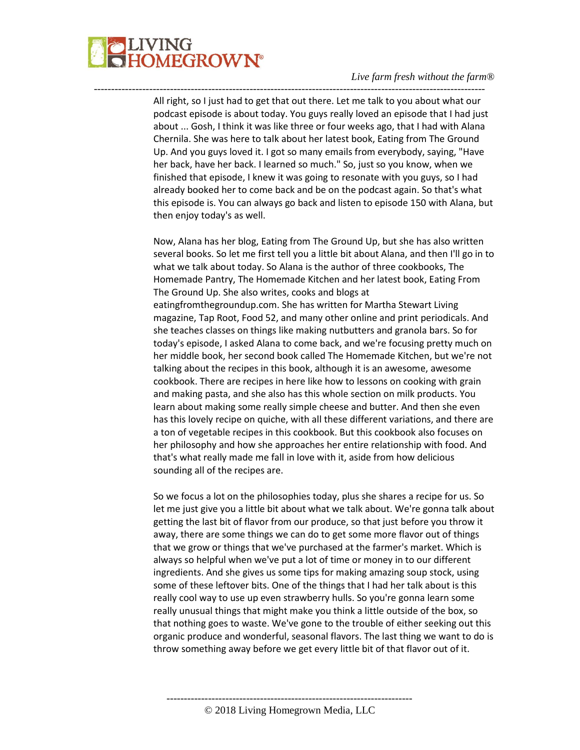

All right, so I just had to get that out there. Let me talk to you about what our podcast episode is about today. You guys really loved an episode that I had just about ... Gosh, I think it was like three or four weeks ago, that I had with Alana Chernila. She was here to talk about her latest book, Eating from The Ground Up. And you guys loved it. I got so many emails from everybody, saying, "Have her back, have her back. I learned so much." So, just so you know, when we finished that episode, I knew it was going to resonate with you guys, so I had already booked her to come back and be on the podcast again. So that's what this episode is. You can always go back and listen to episode 150 with Alana, but then enjoy today's as well.

-----------------------------------------------------------------------------------------------------------------

Now, Alana has her blog, Eating from The Ground Up, but she has also written several books. So let me first tell you a little bit about Alana, and then I'll go in to what we talk about today. So Alana is the author of three cookbooks, The Homemade Pantry, The Homemade Kitchen and her latest book, Eating From The Ground Up. She also writes, cooks and blogs at eatingfromthegroundup.com. She has written for Martha Stewart Living magazine, Tap Root, Food 52, and many other online and print periodicals. And she teaches classes on things like making nutbutters and granola bars. So for today's episode, I asked Alana to come back, and we're focusing pretty much on her middle book, her second book called The Homemade Kitchen, but we're not talking about the recipes in this book, although it is an awesome, awesome cookbook. There are recipes in here like how to lessons on cooking with grain and making pasta, and she also has this whole section on milk products. You learn about making some really simple cheese and butter. And then she even has this lovely recipe on quiche, with all these different variations, and there are a ton of vegetable recipes in this cookbook. But this cookbook also focuses on her philosophy and how she approaches her entire relationship with food. And that's what really made me fall in love with it, aside from how delicious sounding all of the recipes are.

So we focus a lot on the philosophies today, plus she shares a recipe for us. So let me just give you a little bit about what we talk about. We're gonna talk about getting the last bit of flavor from our produce, so that just before you throw it away, there are some things we can do to get some more flavor out of things that we grow or things that we've purchased at the farmer's market. Which is always so helpful when we've put a lot of time or money in to our different ingredients. And she gives us some tips for making amazing soup stock, using some of these leftover bits. One of the things that I had her talk about is this really cool way to use up even strawberry hulls. So you're gonna learn some really unusual things that might make you think a little outside of the box, so that nothing goes to waste. We've gone to the trouble of either seeking out this organic produce and wonderful, seasonal flavors. The last thing we want to do is throw something away before we get every little bit of that flavor out of it.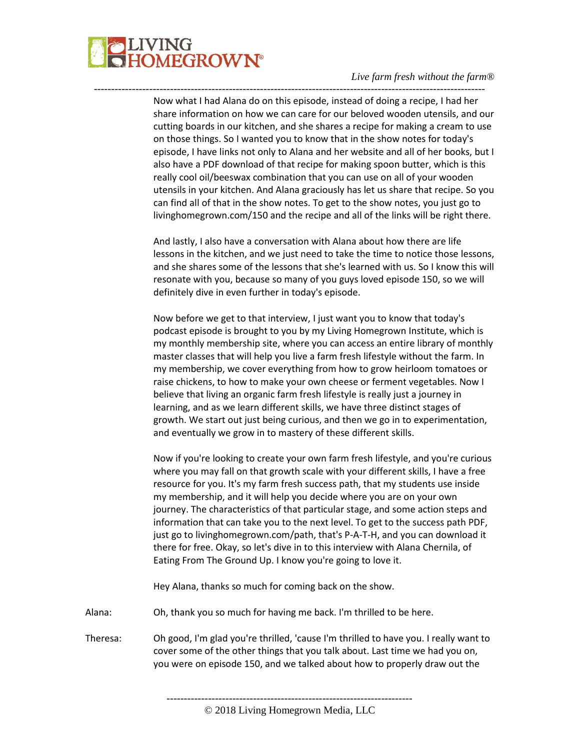

Now what I had Alana do on this episode, instead of doing a recipe, I had her share information on how we can care for our beloved wooden utensils, and our cutting boards in our kitchen, and she shares a recipe for making a cream to use on those things. So I wanted you to know that in the show notes for today's episode, I have links not only to Alana and her website and all of her books, but I also have a PDF download of that recipe for making spoon butter, which is this really cool oil/beeswax combination that you can use on all of your wooden utensils in your kitchen. And Alana graciously has let us share that recipe. So you can find all of that in the show notes. To get to the show notes, you just go to livinghomegrown.com/150 and the recipe and all of the links will be right there.

-----------------------------------------------------------------------------------------------------------------

And lastly, I also have a conversation with Alana about how there are life lessons in the kitchen, and we just need to take the time to notice those lessons, and she shares some of the lessons that she's learned with us. So I know this will resonate with you, because so many of you guys loved episode 150, so we will definitely dive in even further in today's episode.

Now before we get to that interview, I just want you to know that today's podcast episode is brought to you by my Living Homegrown Institute, which is my monthly membership site, where you can access an entire library of monthly master classes that will help you live a farm fresh lifestyle without the farm. In my membership, we cover everything from how to grow heirloom tomatoes or raise chickens, to how to make your own cheese or ferment vegetables. Now I believe that living an organic farm fresh lifestyle is really just a journey in learning, and as we learn different skills, we have three distinct stages of growth. We start out just being curious, and then we go in to experimentation, and eventually we grow in to mastery of these different skills.

Now if you're looking to create your own farm fresh lifestyle, and you're curious where you may fall on that growth scale with your different skills, I have a free resource for you. It's my farm fresh success path, that my students use inside my membership, and it will help you decide where you are on your own journey. The characteristics of that particular stage, and some action steps and information that can take you to the next level. To get to the success path PDF, just go to livinghomegrown.com/path, that's P-A-T-H, and you can download it there for free. Okay, so let's dive in to this interview with Alana Chernila, of Eating From The Ground Up. I know you're going to love it.

Hey Alana, thanks so much for coming back on the show.

Alana: Oh, thank you so much for having me back. I'm thrilled to be here.

Theresa: Oh good, I'm glad you're thrilled, 'cause I'm thrilled to have you. I really want to cover some of the other things that you talk about. Last time we had you on, you were on episode 150, and we talked about how to properly draw out the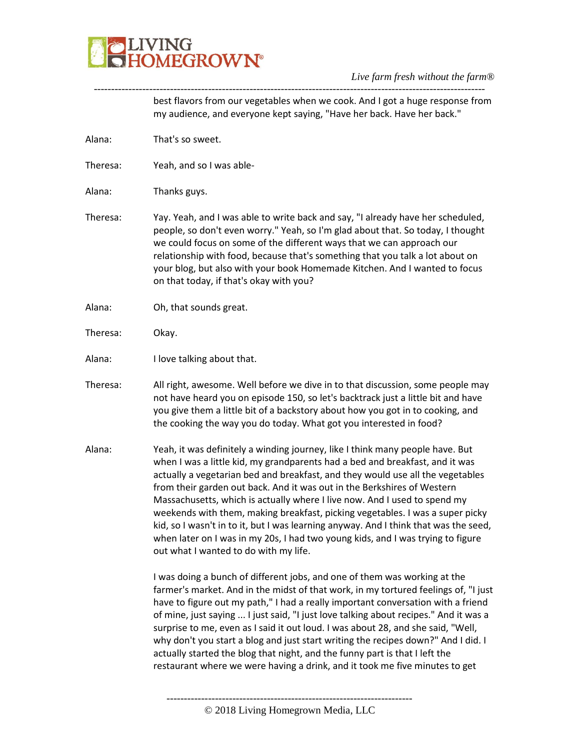

----------------------------------------------------------------------------------------------------------------- ---------------------------------------------------------------------- best flavors from our vegetables when we cook. And I got a huge response from my audience, and everyone kept saying, "Have her back. Have her back." Alana: That's so sweet. Theresa: Yeah, and so I was able-Alana: Thanks guys. Theresa: Yay. Yeah, and I was able to write back and say, "I already have her scheduled, people, so don't even worry." Yeah, so I'm glad about that. So today, I thought we could focus on some of the different ways that we can approach our relationship with food, because that's something that you talk a lot about on your blog, but also with your book Homemade Kitchen. And I wanted to focus on that today, if that's okay with you? Alana: Oh, that sounds great. Theresa: Okay. Alana: I love talking about that. Theresa: All right, awesome. Well before we dive in to that discussion, some people may not have heard you on episode 150, so let's backtrack just a little bit and have you give them a little bit of a backstory about how you got in to cooking, and the cooking the way you do today. What got you interested in food? Alana: Yeah, it was definitely a winding journey, like I think many people have. But when I was a little kid, my grandparents had a bed and breakfast, and it was actually a vegetarian bed and breakfast, and they would use all the vegetables from their garden out back. And it was out in the Berkshires of Western Massachusetts, which is actually where I live now. And I used to spend my weekends with them, making breakfast, picking vegetables. I was a super picky kid, so I wasn't in to it, but I was learning anyway. And I think that was the seed, when later on I was in my 20s, I had two young kids, and I was trying to figure out what I wanted to do with my life. I was doing a bunch of different jobs, and one of them was working at the farmer's market. And in the midst of that work, in my tortured feelings of, "I just have to figure out my path," I had a really important conversation with a friend of mine, just saying ... I just said, "I just love talking about recipes." And it was a surprise to me, even as I said it out loud. I was about 28, and she said, "Well, why don't you start a blog and just start writing the recipes down?" And I did. I actually started the blog that night, and the funny part is that I left the restaurant where we were having a drink, and it took me five minutes to get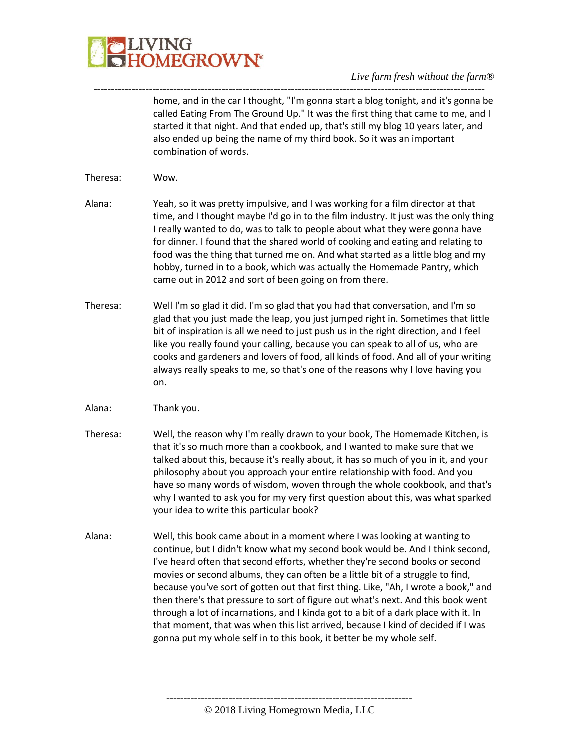

home, and in the car I thought, "I'm gonna start a blog tonight, and it's gonna be called Eating From The Ground Up." It was the first thing that came to me, and I started it that night. And that ended up, that's still my blog 10 years later, and also ended up being the name of my third book. So it was an important combination of words.

Theresa: Wow.

Alana: Yeah, so it was pretty impulsive, and I was working for a film director at that time, and I thought maybe I'd go in to the film industry. It just was the only thing I really wanted to do, was to talk to people about what they were gonna have for dinner. I found that the shared world of cooking and eating and relating to food was the thing that turned me on. And what started as a little blog and my hobby, turned in to a book, which was actually the Homemade Pantry, which came out in 2012 and sort of been going on from there.

-----------------------------------------------------------------------------------------------------------------

- Theresa: Well I'm so glad it did. I'm so glad that you had that conversation, and I'm so glad that you just made the leap, you just jumped right in. Sometimes that little bit of inspiration is all we need to just push us in the right direction, and I feel like you really found your calling, because you can speak to all of us, who are cooks and gardeners and lovers of food, all kinds of food. And all of your writing always really speaks to me, so that's one of the reasons why I love having you on.
- Alana: Thank you.
- Theresa: Well, the reason why I'm really drawn to your book, The Homemade Kitchen, is that it's so much more than a cookbook, and I wanted to make sure that we talked about this, because it's really about, it has so much of you in it, and your philosophy about you approach your entire relationship with food. And you have so many words of wisdom, woven through the whole cookbook, and that's why I wanted to ask you for my very first question about this, was what sparked your idea to write this particular book?
- Alana: Well, this book came about in a moment where I was looking at wanting to continue, but I didn't know what my second book would be. And I think second, I've heard often that second efforts, whether they're second books or second movies or second albums, they can often be a little bit of a struggle to find, because you've sort of gotten out that first thing. Like, "Ah, I wrote a book," and then there's that pressure to sort of figure out what's next. And this book went through a lot of incarnations, and I kinda got to a bit of a dark place with it. In that moment, that was when this list arrived, because I kind of decided if I was gonna put my whole self in to this book, it better be my whole self.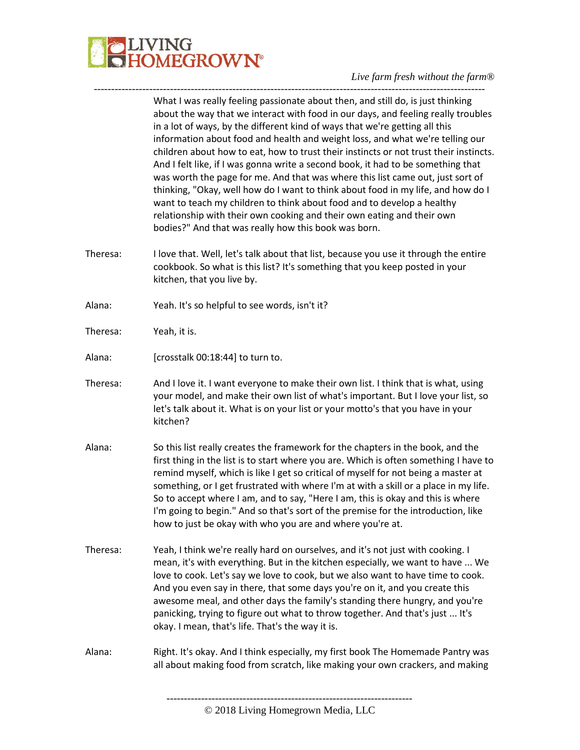

What I was really feeling passionate about then, and still do, is just thinking about the way that we interact with food in our days, and feeling really troubles in a lot of ways, by the different kind of ways that we're getting all this information about food and health and weight loss, and what we're telling our children about how to eat, how to trust their instincts or not trust their instincts. And I felt like, if I was gonna write a second book, it had to be something that was worth the page for me. And that was where this list came out, just sort of thinking, "Okay, well how do I want to think about food in my life, and how do I want to teach my children to think about food and to develop a healthy relationship with their own cooking and their own eating and their own bodies?" And that was really how this book was born. Theresa: I love that. Well, let's talk about that list, because you use it through the entire cookbook. So what is this list? It's something that you keep posted in your kitchen, that you live by. Alana: Yeah. It's so helpful to see words, isn't it? Theresa: Yeah, it is. Alana: [crosstalk 00:18:44] to turn to. Theresa: And I love it. I want everyone to make their own list. I think that is what, using your model, and make their own list of what's important. But I love your list, so let's talk about it. What is on your list or your motto's that you have in your kitchen? Alana: So this list really creates the framework for the chapters in the book, and the first thing in the list is to start where you are. Which is often something I have to remind myself, which is like I get so critical of myself for not being a master at something, or I get frustrated with where I'm at with a skill or a place in my life. So to accept where I am, and to say, "Here I am, this is okay and this is where I'm going to begin." And so that's sort of the premise for the introduction, like how to just be okay with who you are and where you're at. Theresa: Yeah, I think we're really hard on ourselves, and it's not just with cooking. I mean, it's with everything. But in the kitchen especially, we want to have ... We love to cook. Let's say we love to cook, but we also want to have time to cook. And you even say in there, that some days you're on it, and you create this awesome meal, and other days the family's standing there hungry, and you're panicking, trying to figure out what to throw together. And that's just ... It's okay. I mean, that's life. That's the way it is. Alana: Right. It's okay. And I think especially, my first book The Homemade Pantry was all about making food from scratch, like making your own crackers, and making

-----------------------------------------------------------------------------------------------------------------

© 2018 Living Homegrown Media, LLC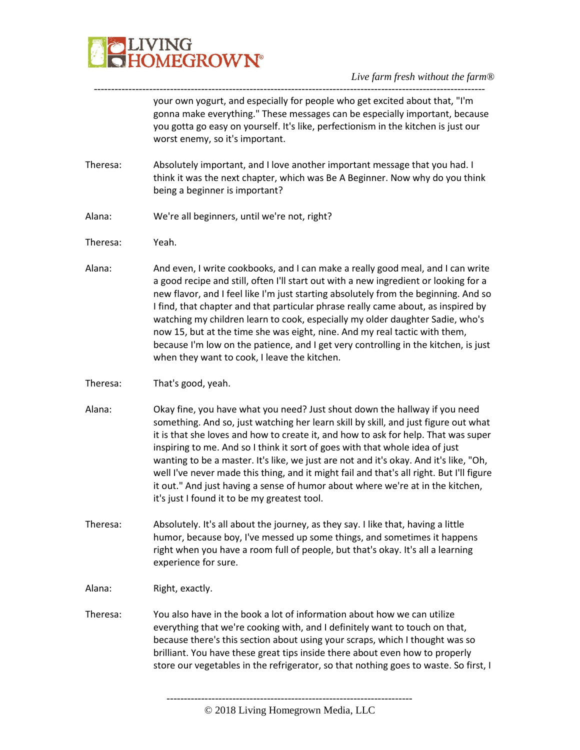

---------------------------------------------------------------------------------------------------------------- your own yogurt, and especially for people who get excited about that, "I'm gonna make everything." These messages can be especially important, because you gotta go easy on yourself. It's like, perfectionism in the kitchen is just our worst enemy, so it's important.

- Theresa: Absolutely important, and I love another important message that you had. I think it was the next chapter, which was Be A Beginner. Now why do you think being a beginner is important?
- Alana: We're all beginners, until we're not, right?
- Theresa: Yeah.
- Alana: And even, I write cookbooks, and I can make a really good meal, and I can write a good recipe and still, often I'll start out with a new ingredient or looking for a new flavor, and I feel like I'm just starting absolutely from the beginning. And so I find, that chapter and that particular phrase really came about, as inspired by watching my children learn to cook, especially my older daughter Sadie, who's now 15, but at the time she was eight, nine. And my real tactic with them, because I'm low on the patience, and I get very controlling in the kitchen, is just when they want to cook, I leave the kitchen.
- Theresa: That's good, yeah.
- Alana: Okay fine, you have what you need? Just shout down the hallway if you need something. And so, just watching her learn skill by skill, and just figure out what it is that she loves and how to create it, and how to ask for help. That was super inspiring to me. And so I think it sort of goes with that whole idea of just wanting to be a master. It's like, we just are not and it's okay. And it's like, "Oh, well I've never made this thing, and it might fail and that's all right. But I'll figure it out." And just having a sense of humor about where we're at in the kitchen, it's just I found it to be my greatest tool.
- Theresa: Absolutely. It's all about the journey, as they say. I like that, having a little humor, because boy, I've messed up some things, and sometimes it happens right when you have a room full of people, but that's okay. It's all a learning experience for sure.
- Alana: Right, exactly.
- Theresa: You also have in the book a lot of information about how we can utilize everything that we're cooking with, and I definitely want to touch on that, because there's this section about using your scraps, which I thought was so brilliant. You have these great tips inside there about even how to properly store our vegetables in the refrigerator, so that nothing goes to waste. So first, I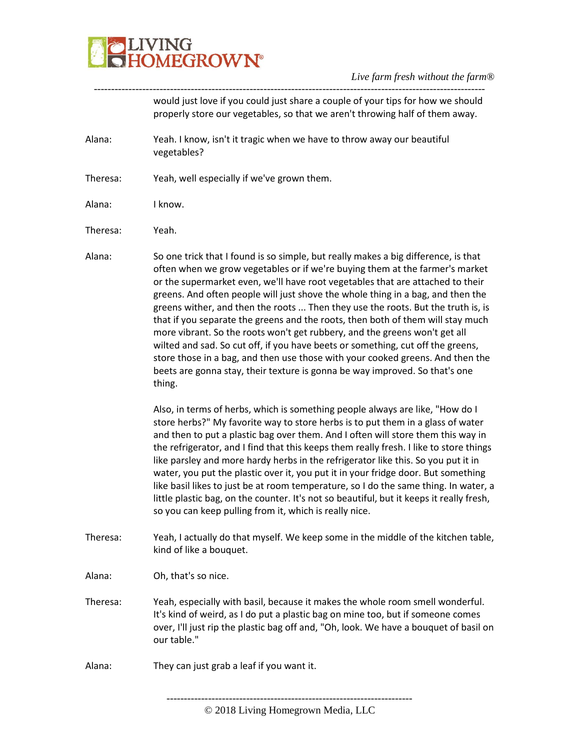

|          | would just love if you could just share a couple of your tips for how we should<br>properly store our vegetables, so that we aren't throwing half of them away.                                                                                                                                                                                                                                                                                                                                                                                                                                                                                                                                                                                                                                                                                            |
|----------|------------------------------------------------------------------------------------------------------------------------------------------------------------------------------------------------------------------------------------------------------------------------------------------------------------------------------------------------------------------------------------------------------------------------------------------------------------------------------------------------------------------------------------------------------------------------------------------------------------------------------------------------------------------------------------------------------------------------------------------------------------------------------------------------------------------------------------------------------------|
| Alana:   | Yeah. I know, isn't it tragic when we have to throw away our beautiful<br>vegetables?                                                                                                                                                                                                                                                                                                                                                                                                                                                                                                                                                                                                                                                                                                                                                                      |
| Theresa: | Yeah, well especially if we've grown them.                                                                                                                                                                                                                                                                                                                                                                                                                                                                                                                                                                                                                                                                                                                                                                                                                 |
| Alana:   | I know.                                                                                                                                                                                                                                                                                                                                                                                                                                                                                                                                                                                                                                                                                                                                                                                                                                                    |
| Theresa: | Yeah.                                                                                                                                                                                                                                                                                                                                                                                                                                                                                                                                                                                                                                                                                                                                                                                                                                                      |
| Alana:   | So one trick that I found is so simple, but really makes a big difference, is that<br>often when we grow vegetables or if we're buying them at the farmer's market<br>or the supermarket even, we'll have root vegetables that are attached to their<br>greens. And often people will just shove the whole thing in a bag, and then the<br>greens wither, and then the roots  Then they use the roots. But the truth is, is<br>that if you separate the greens and the roots, then both of them will stay much<br>more vibrant. So the roots won't get rubbery, and the greens won't get all<br>wilted and sad. So cut off, if you have beets or something, cut off the greens,<br>store those in a bag, and then use those with your cooked greens. And then the<br>beets are gonna stay, their texture is gonna be way improved. So that's one<br>thing. |
|          | Also, in terms of herbs, which is something people always are like, "How do I<br>store herbs?" My favorite way to store herbs is to put them in a glass of water<br>and then to put a plastic bag over them. And I often will store them this way in<br>the refrigerator, and I find that this keeps them really fresh. I like to store things<br>like parsley and more hardy herbs in the refrigerator like this. So you put it in<br>water, you put the plastic over it, you put it in your fridge door. But something<br>like basil likes to just be at room temperature, so I do the same thing. In water, a<br>little plastic bag, on the counter. It's not so beautiful, but it keeps it really fresh,<br>so you can keep pulling from it, which is really nice.                                                                                     |
| Theresa: | Yeah, I actually do that myself. We keep some in the middle of the kitchen table,<br>kind of like a bouquet.                                                                                                                                                                                                                                                                                                                                                                                                                                                                                                                                                                                                                                                                                                                                               |
| Alana:   | Oh, that's so nice.                                                                                                                                                                                                                                                                                                                                                                                                                                                                                                                                                                                                                                                                                                                                                                                                                                        |
| Theresa: | Yeah, especially with basil, because it makes the whole room smell wonderful.<br>It's kind of weird, as I do put a plastic bag on mine too, but if someone comes<br>over, I'll just rip the plastic bag off and, "Oh, look. We have a bouquet of basil on<br>our table."                                                                                                                                                                                                                                                                                                                                                                                                                                                                                                                                                                                   |
| Alana:   | They can just grab a leaf if you want it.                                                                                                                                                                                                                                                                                                                                                                                                                                                                                                                                                                                                                                                                                                                                                                                                                  |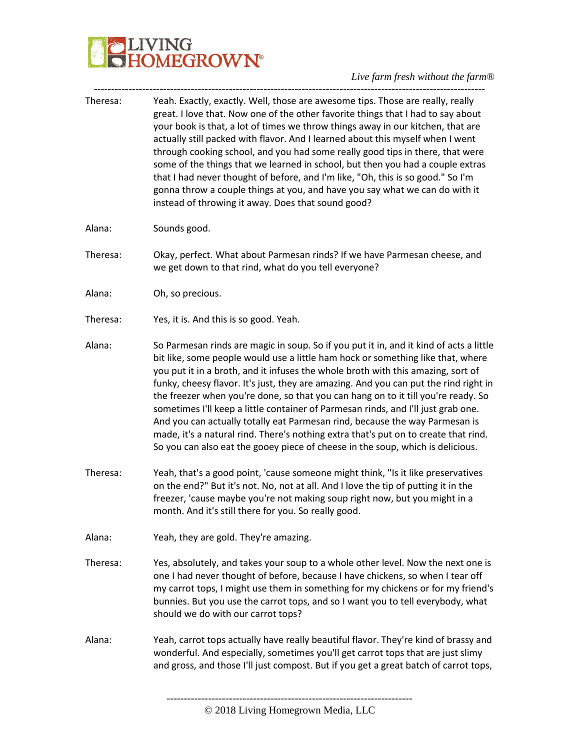# **PLIVING**<br>CHOMEGROWN®

#### *Live farm fresh without the farm®* -----------------------------------------------------------------------------------------------------------------

| Theresa: | Yeah. Exactly, exactly. Well, those are awesome tips. Those are really, really<br>great. I love that. Now one of the other favorite things that I had to say about<br>your book is that, a lot of times we throw things away in our kitchen, that are<br>actually still packed with flavor. And I learned about this myself when I went<br>through cooking school, and you had some really good tips in there, that were<br>some of the things that we learned in school, but then you had a couple extras<br>that I had never thought of before, and I'm like, "Oh, this is so good." So I'm<br>gonna throw a couple things at you, and have you say what we can do with it<br>instead of throwing it away. Does that sound good?                                                      |
|----------|-----------------------------------------------------------------------------------------------------------------------------------------------------------------------------------------------------------------------------------------------------------------------------------------------------------------------------------------------------------------------------------------------------------------------------------------------------------------------------------------------------------------------------------------------------------------------------------------------------------------------------------------------------------------------------------------------------------------------------------------------------------------------------------------|
| Alana:   | Sounds good.                                                                                                                                                                                                                                                                                                                                                                                                                                                                                                                                                                                                                                                                                                                                                                            |
| Theresa: | Okay, perfect. What about Parmesan rinds? If we have Parmesan cheese, and<br>we get down to that rind, what do you tell everyone?                                                                                                                                                                                                                                                                                                                                                                                                                                                                                                                                                                                                                                                       |
| Alana:   | Oh, so precious.                                                                                                                                                                                                                                                                                                                                                                                                                                                                                                                                                                                                                                                                                                                                                                        |
| Theresa: | Yes, it is. And this is so good. Yeah.                                                                                                                                                                                                                                                                                                                                                                                                                                                                                                                                                                                                                                                                                                                                                  |
| Alana:   | So Parmesan rinds are magic in soup. So if you put it in, and it kind of acts a little<br>bit like, some people would use a little ham hock or something like that, where<br>you put it in a broth, and it infuses the whole broth with this amazing, sort of<br>funky, cheesy flavor. It's just, they are amazing. And you can put the rind right in<br>the freezer when you're done, so that you can hang on to it till you're ready. So<br>sometimes I'll keep a little container of Parmesan rinds, and I'll just grab one.<br>And you can actually totally eat Parmesan rind, because the way Parmesan is<br>made, it's a natural rind. There's nothing extra that's put on to create that rind.<br>So you can also eat the gooey piece of cheese in the soup, which is delicious. |
| Theresa: | Yeah, that's a good point, 'cause someone might think, "Is it like preservatives<br>on the end?" But it's not. No, not at all. And I love the tip of putting it in the<br>freezer, 'cause maybe you're not making soup right now, but you might in a<br>month. And it's still there for you. So really good.                                                                                                                                                                                                                                                                                                                                                                                                                                                                            |
| Alana:   | Yeah, they are gold. They're amazing.                                                                                                                                                                                                                                                                                                                                                                                                                                                                                                                                                                                                                                                                                                                                                   |
| Theresa: | Yes, absolutely, and takes your soup to a whole other level. Now the next one is<br>one I had never thought of before, because I have chickens, so when I tear off<br>my carrot tops, I might use them in something for my chickens or for my friend's<br>bunnies. But you use the carrot tops, and so I want you to tell everybody, what<br>should we do with our carrot tops?                                                                                                                                                                                                                                                                                                                                                                                                         |
| Alana:   | Yeah, carrot tops actually have really beautiful flavor. They're kind of brassy and<br>wonderful. And especially, sometimes you'll get carrot tops that are just slimy<br>and gross, and those I'll just compost. But if you get a great batch of carrot tops,                                                                                                                                                                                                                                                                                                                                                                                                                                                                                                                          |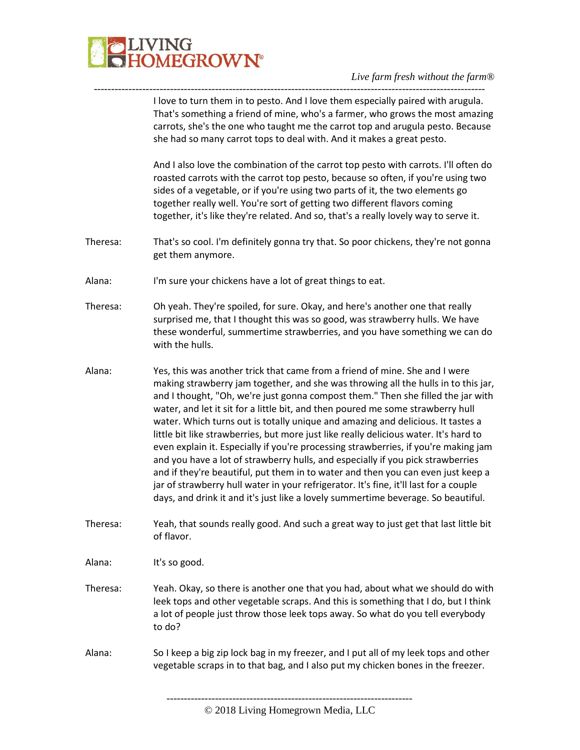

----------------------------------------------------------------------------------------------------------------- I love to turn them in to pesto. And I love them especially paired with arugula. That's something a friend of mine, who's a farmer, who grows the most amazing carrots, she's the one who taught me the carrot top and arugula pesto. Because she had so many carrot tops to deal with. And it makes a great pesto.

> And I also love the combination of the carrot top pesto with carrots. I'll often do roasted carrots with the carrot top pesto, because so often, if you're using two sides of a vegetable, or if you're using two parts of it, the two elements go together really well. You're sort of getting two different flavors coming together, it's like they're related. And so, that's a really lovely way to serve it.

- Theresa: That's so cool. I'm definitely gonna try that. So poor chickens, they're not gonna get them anymore.
- Alana: I'm sure your chickens have a lot of great things to eat.
- Theresa: Oh yeah. They're spoiled, for sure. Okay, and here's another one that really surprised me, that I thought this was so good, was strawberry hulls. We have these wonderful, summertime strawberries, and you have something we can do with the hulls.
- Alana: Yes, this was another trick that came from a friend of mine. She and I were making strawberry jam together, and she was throwing all the hulls in to this jar, and I thought, "Oh, we're just gonna compost them." Then she filled the jar with water, and let it sit for a little bit, and then poured me some strawberry hull water. Which turns out is totally unique and amazing and delicious. It tastes a little bit like strawberries, but more just like really delicious water. It's hard to even explain it. Especially if you're processing strawberries, if you're making jam and you have a lot of strawberry hulls, and especially if you pick strawberries and if they're beautiful, put them in to water and then you can even just keep a jar of strawberry hull water in your refrigerator. It's fine, it'll last for a couple days, and drink it and it's just like a lovely summertime beverage. So beautiful.
- Theresa: Yeah, that sounds really good. And such a great way to just get that last little bit of flavor.
- Alana: It's so good.
- Theresa: Yeah. Okay, so there is another one that you had, about what we should do with leek tops and other vegetable scraps. And this is something that I do, but I think a lot of people just throw those leek tops away. So what do you tell everybody to do?
- Alana: So I keep a big zip lock bag in my freezer, and I put all of my leek tops and other vegetable scraps in to that bag, and I also put my chicken bones in the freezer.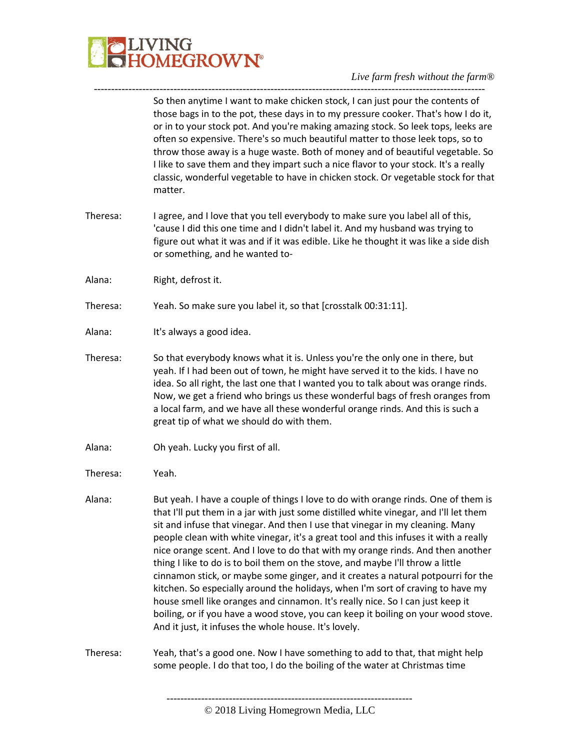

----------------------------------------------------------------------------------------------------------------- So then anytime I want to make chicken stock, I can just pour the contents of those bags in to the pot, these days in to my pressure cooker. That's how I do it, or in to your stock pot. And you're making amazing stock. So leek tops, leeks are often so expensive. There's so much beautiful matter to those leek tops, so to throw those away is a huge waste. Both of money and of beautiful vegetable. So I like to save them and they impart such a nice flavor to your stock. It's a really classic, wonderful vegetable to have in chicken stock. Or vegetable stock for that matter.

Theresa: I agree, and I love that you tell everybody to make sure you label all of this, 'cause I did this one time and I didn't label it. And my husband was trying to figure out what it was and if it was edible. Like he thought it was like a side dish or something, and he wanted to-

Alana: Right, defrost it.

Theresa: Yeah. So make sure you label it, so that [crosstalk 00:31:11].

- Alana: It's always a good idea.
- Theresa: So that everybody knows what it is. Unless you're the only one in there, but yeah. If I had been out of town, he might have served it to the kids. I have no idea. So all right, the last one that I wanted you to talk about was orange rinds. Now, we get a friend who brings us these wonderful bags of fresh oranges from a local farm, and we have all these wonderful orange rinds. And this is such a great tip of what we should do with them.
- Alana: Oh yeah. Lucky you first of all.
- Theresa: Yeah.

Alana: But yeah. I have a couple of things I love to do with orange rinds. One of them is that I'll put them in a jar with just some distilled white vinegar, and I'll let them sit and infuse that vinegar. And then I use that vinegar in my cleaning. Many people clean with white vinegar, it's a great tool and this infuses it with a really nice orange scent. And I love to do that with my orange rinds. And then another thing I like to do is to boil them on the stove, and maybe I'll throw a little cinnamon stick, or maybe some ginger, and it creates a natural potpourri for the kitchen. So especially around the holidays, when I'm sort of craving to have my house smell like oranges and cinnamon. It's really nice. So I can just keep it boiling, or if you have a wood stove, you can keep it boiling on your wood stove. And it just, it infuses the whole house. It's lovely.

Theresa: Yeah, that's a good one. Now I have something to add to that, that might help some people. I do that too, I do the boiling of the water at Christmas time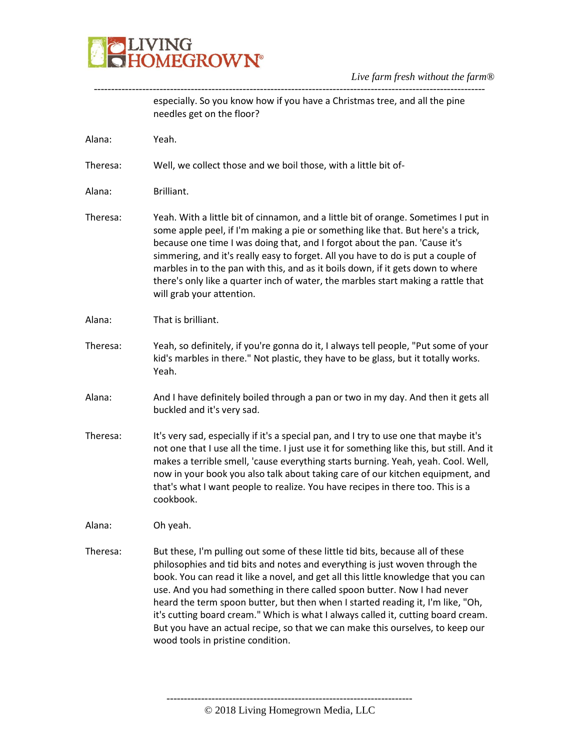

|          | especially. So you know how if you have a Christmas tree, and all the pine<br>needles get on the floor?                                                                                                                                                                                                                                                                                                                                                                                                                                                                                                                         |
|----------|---------------------------------------------------------------------------------------------------------------------------------------------------------------------------------------------------------------------------------------------------------------------------------------------------------------------------------------------------------------------------------------------------------------------------------------------------------------------------------------------------------------------------------------------------------------------------------------------------------------------------------|
| Alana:   | Yeah.                                                                                                                                                                                                                                                                                                                                                                                                                                                                                                                                                                                                                           |
| Theresa: | Well, we collect those and we boil those, with a little bit of-                                                                                                                                                                                                                                                                                                                                                                                                                                                                                                                                                                 |
| Alana:   | Brilliant.                                                                                                                                                                                                                                                                                                                                                                                                                                                                                                                                                                                                                      |
| Theresa: | Yeah. With a little bit of cinnamon, and a little bit of orange. Sometimes I put in<br>some apple peel, if I'm making a pie or something like that. But here's a trick,<br>because one time I was doing that, and I forgot about the pan. 'Cause it's<br>simmering, and it's really easy to forget. All you have to do is put a couple of<br>marbles in to the pan with this, and as it boils down, if it gets down to where<br>there's only like a quarter inch of water, the marbles start making a rattle that<br>will grab your attention.                                                                                  |
| Alana:   | That is brilliant.                                                                                                                                                                                                                                                                                                                                                                                                                                                                                                                                                                                                              |
| Theresa: | Yeah, so definitely, if you're gonna do it, I always tell people, "Put some of your<br>kid's marbles in there." Not plastic, they have to be glass, but it totally works.<br>Yeah.                                                                                                                                                                                                                                                                                                                                                                                                                                              |
| Alana:   | And I have definitely boiled through a pan or two in my day. And then it gets all<br>buckled and it's very sad.                                                                                                                                                                                                                                                                                                                                                                                                                                                                                                                 |
| Theresa: | It's very sad, especially if it's a special pan, and I try to use one that maybe it's<br>not one that I use all the time. I just use it for something like this, but still. And it<br>makes a terrible smell, 'cause everything starts burning. Yeah, yeah. Cool. Well,<br>now in your book you also talk about taking care of our kitchen equipment, and<br>that's what I want people to realize. You have recipes in there too. This is a<br>cookbook.                                                                                                                                                                        |
| Alana:   | Oh yeah.                                                                                                                                                                                                                                                                                                                                                                                                                                                                                                                                                                                                                        |
| Theresa: | But these, I'm pulling out some of these little tid bits, because all of these<br>philosophies and tid bits and notes and everything is just woven through the<br>book. You can read it like a novel, and get all this little knowledge that you can<br>use. And you had something in there called spoon butter. Now I had never<br>heard the term spoon butter, but then when I started reading it, I'm like, "Oh,<br>it's cutting board cream." Which is what I always called it, cutting board cream.<br>But you have an actual recipe, so that we can make this ourselves, to keep our<br>wood tools in pristine condition. |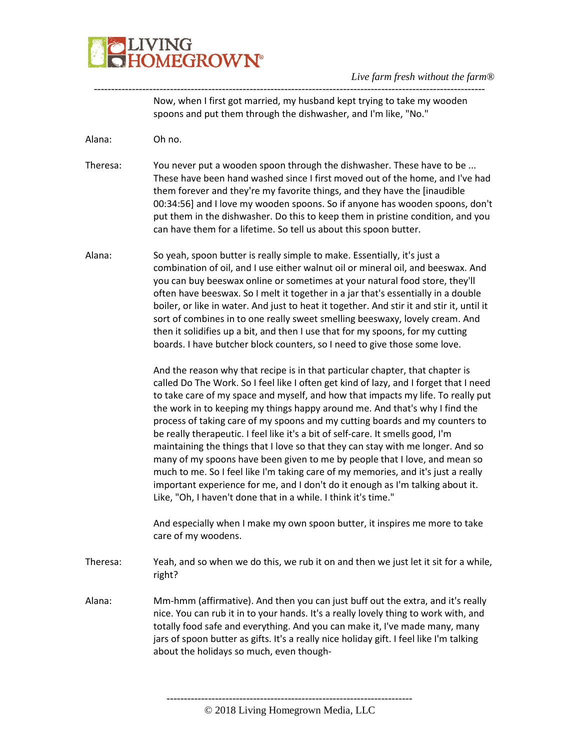

----------------------------------------------------------------------------------------------------------------- Now, when I first got married, my husband kept trying to take my wooden spoons and put them through the dishwasher, and I'm like, "No."

Alana: Oh no.

Theresa: You never put a wooden spoon through the dishwasher. These have to be ... These have been hand washed since I first moved out of the home, and I've had them forever and they're my favorite things, and they have the [inaudible 00:34:56] and I love my wooden spoons. So if anyone has wooden spoons, don't put them in the dishwasher. Do this to keep them in pristine condition, and you can have them for a lifetime. So tell us about this spoon butter.

Alana: So yeah, spoon butter is really simple to make. Essentially, it's just a combination of oil, and I use either walnut oil or mineral oil, and beeswax. And you can buy beeswax online or sometimes at your natural food store, they'll often have beeswax. So I melt it together in a jar that's essentially in a double boiler, or like in water. And just to heat it together. And stir it and stir it, until it sort of combines in to one really sweet smelling beeswaxy, lovely cream. And then it solidifies up a bit, and then I use that for my spoons, for my cutting boards. I have butcher block counters, so I need to give those some love.

> And the reason why that recipe is in that particular chapter, that chapter is called Do The Work. So I feel like I often get kind of lazy, and I forget that I need to take care of my space and myself, and how that impacts my life. To really put the work in to keeping my things happy around me. And that's why I find the process of taking care of my spoons and my cutting boards and my counters to be really therapeutic. I feel like it's a bit of self-care. It smells good, I'm maintaining the things that I love so that they can stay with me longer. And so many of my spoons have been given to me by people that I love, and mean so much to me. So I feel like I'm taking care of my memories, and it's just a really important experience for me, and I don't do it enough as I'm talking about it. Like, "Oh, I haven't done that in a while. I think it's time."

And especially when I make my own spoon butter, it inspires me more to take care of my woodens.

- Theresa: Yeah, and so when we do this, we rub it on and then we just let it sit for a while, right?
- Alana: Mm-hmm (affirmative). And then you can just buff out the extra, and it's really nice. You can rub it in to your hands. It's a really lovely thing to work with, and totally food safe and everything. And you can make it, I've made many, many jars of spoon butter as gifts. It's a really nice holiday gift. I feel like I'm talking about the holidays so much, even though-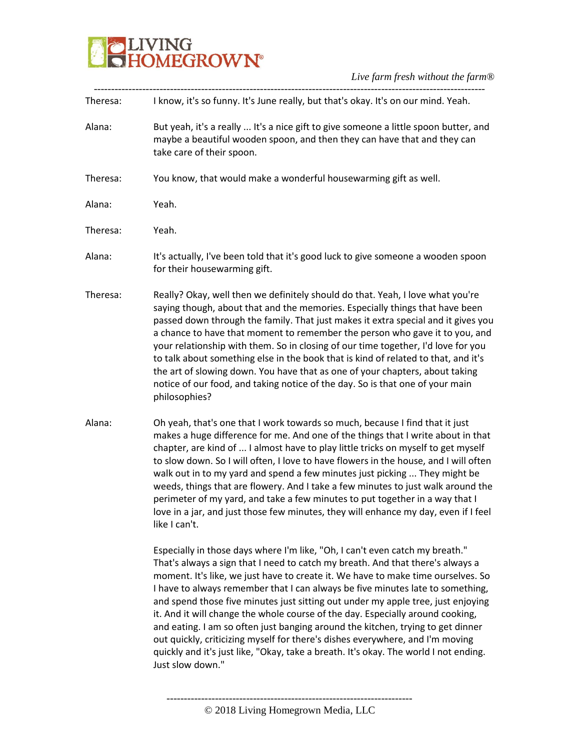

| I know, it's so funny. It's June really, but that's okay. It's on our mind. Yeah.                                                                                                                                                                                                                                                                                                                                                                                                                                                                                                                                                                                                                                                                                                          |
|--------------------------------------------------------------------------------------------------------------------------------------------------------------------------------------------------------------------------------------------------------------------------------------------------------------------------------------------------------------------------------------------------------------------------------------------------------------------------------------------------------------------------------------------------------------------------------------------------------------------------------------------------------------------------------------------------------------------------------------------------------------------------------------------|
| But yeah, it's a really  It's a nice gift to give someone a little spoon butter, and<br>maybe a beautiful wooden spoon, and then they can have that and they can<br>take care of their spoon.                                                                                                                                                                                                                                                                                                                                                                                                                                                                                                                                                                                              |
| You know, that would make a wonderful housewarming gift as well.                                                                                                                                                                                                                                                                                                                                                                                                                                                                                                                                                                                                                                                                                                                           |
| Yeah.                                                                                                                                                                                                                                                                                                                                                                                                                                                                                                                                                                                                                                                                                                                                                                                      |
| Yeah.                                                                                                                                                                                                                                                                                                                                                                                                                                                                                                                                                                                                                                                                                                                                                                                      |
| It's actually, I've been told that it's good luck to give someone a wooden spoon<br>for their housewarming gift.                                                                                                                                                                                                                                                                                                                                                                                                                                                                                                                                                                                                                                                                           |
| Really? Okay, well then we definitely should do that. Yeah, I love what you're<br>saying though, about that and the memories. Especially things that have been<br>passed down through the family. That just makes it extra special and it gives you<br>a chance to have that moment to remember the person who gave it to you, and<br>your relationship with them. So in closing of our time together, I'd love for you<br>to talk about something else in the book that is kind of related to that, and it's<br>the art of slowing down. You have that as one of your chapters, about taking<br>notice of our food, and taking notice of the day. So is that one of your main<br>philosophies?                                                                                            |
| Oh yeah, that's one that I work towards so much, because I find that it just<br>makes a huge difference for me. And one of the things that I write about in that<br>chapter, are kind of  I almost have to play little tricks on myself to get myself<br>to slow down. So I will often, I love to have flowers in the house, and I will often<br>walk out in to my yard and spend a few minutes just picking  They might be<br>weeds, things that are flowery. And I take a few minutes to just walk around the<br>perimeter of my yard, and take a few minutes to put together in a way that I<br>love in a jar, and just those few minutes, they will enhance my day, even if I feel<br>like I can't.                                                                                    |
| Especially in those days where I'm like, "Oh, I can't even catch my breath."<br>That's always a sign that I need to catch my breath. And that there's always a<br>moment. It's like, we just have to create it. We have to make time ourselves. So<br>I have to always remember that I can always be five minutes late to something,<br>and spend those five minutes just sitting out under my apple tree, just enjoying<br>it. And it will change the whole course of the day. Especially around cooking,<br>and eating. I am so often just banging around the kitchen, trying to get dinner<br>out quickly, criticizing myself for there's dishes everywhere, and I'm moving<br>quickly and it's just like, "Okay, take a breath. It's okay. The world I not ending.<br>Just slow down." |
|                                                                                                                                                                                                                                                                                                                                                                                                                                                                                                                                                                                                                                                                                                                                                                                            |